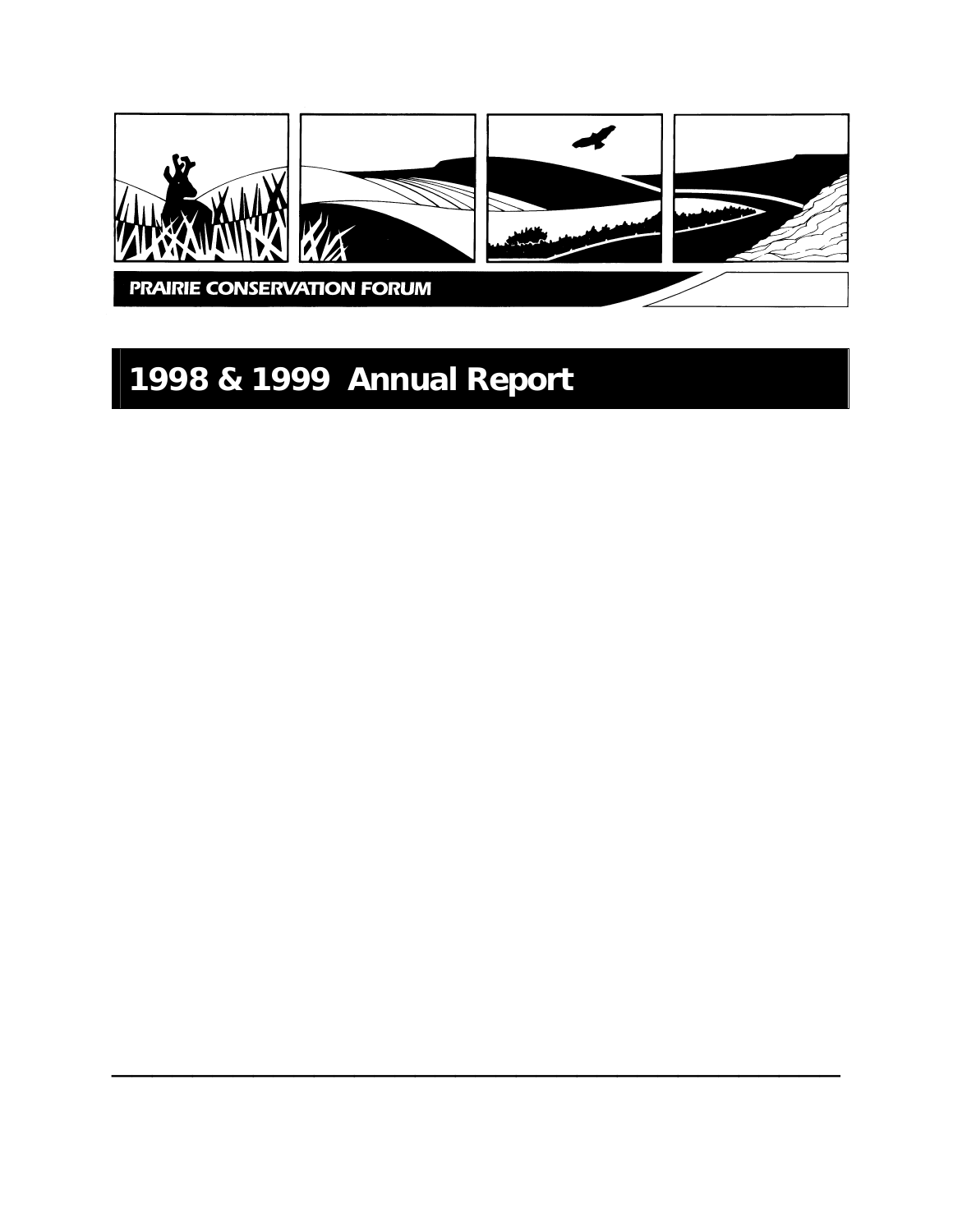

 $\frac{1}{2}$  ,  $\frac{1}{2}$  ,  $\frac{1}{2}$  ,  $\frac{1}{2}$  ,  $\frac{1}{2}$  ,  $\frac{1}{2}$  ,  $\frac{1}{2}$  ,  $\frac{1}{2}$  ,  $\frac{1}{2}$  ,  $\frac{1}{2}$  ,  $\frac{1}{2}$  ,  $\frac{1}{2}$  ,  $\frac{1}{2}$  ,  $\frac{1}{2}$  ,  $\frac{1}{2}$  ,  $\frac{1}{2}$  ,  $\frac{1}{2}$  ,  $\frac{1}{2}$  ,  $\frac{1$ 

# **1998 & 1999 Annual Report**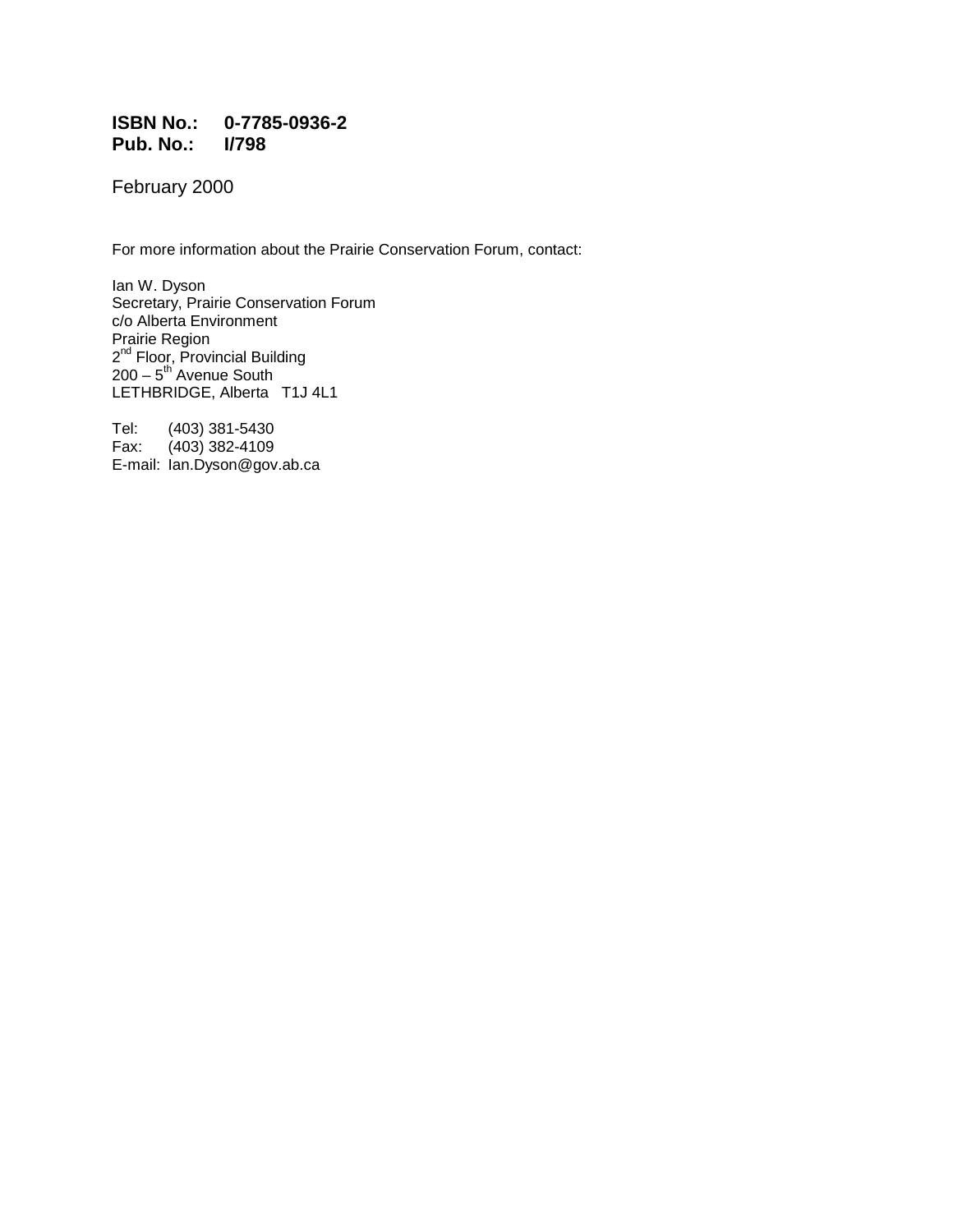#### **ISBN No.: 0-7785-0936-2 Pub. No.: I/798**

February 2000

For more information about the Prairie Conservation Forum, contact:

Ian W. Dyson Secretary, Prairie Conservation Forum c/o Alberta Environment Prairie Region 2<sup>nd</sup> Floor, Provincial Building  $200 - 5$ <sup>th</sup> Avenue South LETHBRIDGE, Alberta T1J 4L1

Tel: (403) 381-5430<br>Fax: (403) 382-4109  $(403)$  382-4109 E-mail: lan.Dyson@gov.ab.ca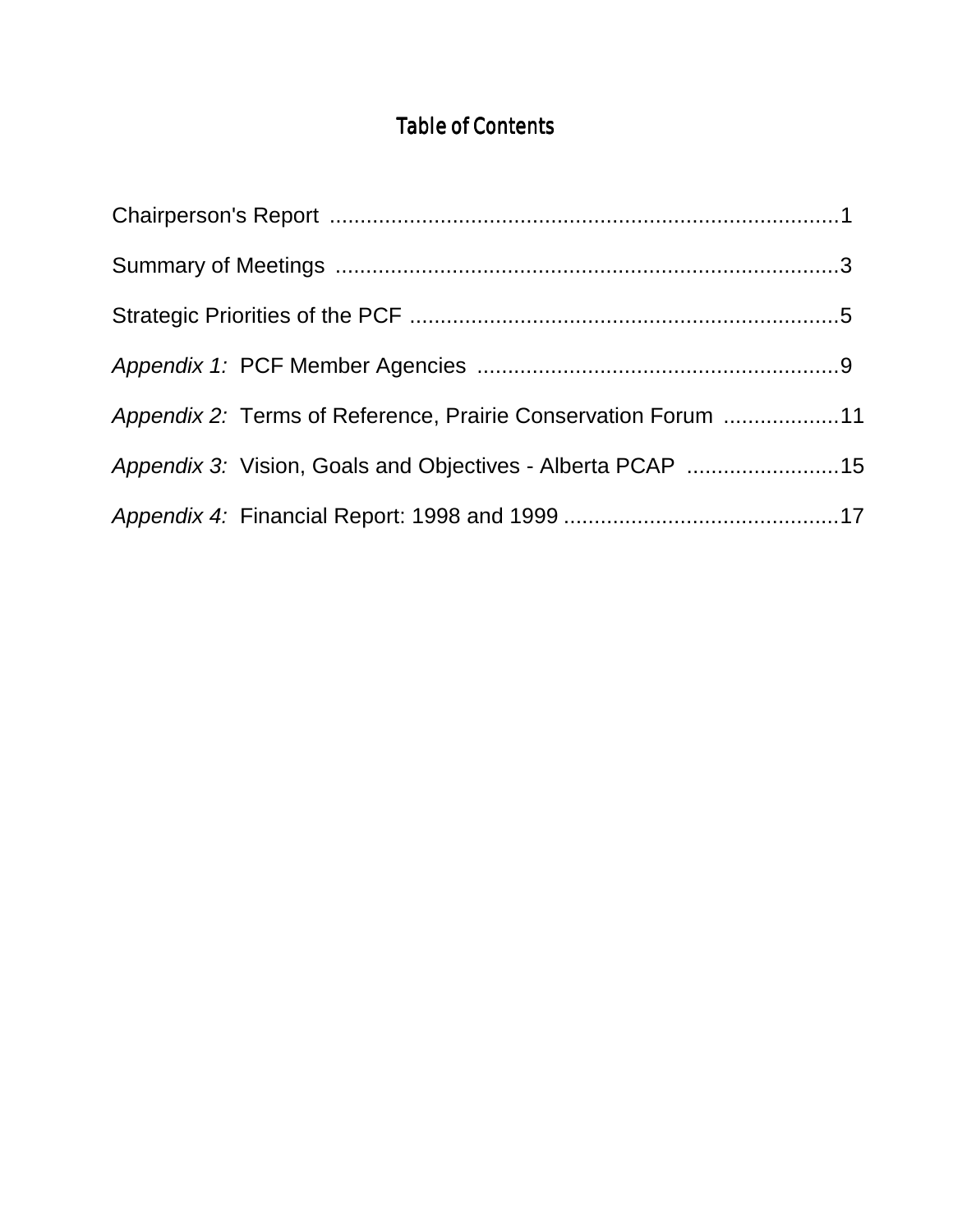# Table of Contents

| Appendix 2: Terms of Reference, Prairie Conservation Forum 11 |  |
|---------------------------------------------------------------|--|
| Appendix 3: Vision, Goals and Objectives - Alberta PCAP 15    |  |
|                                                               |  |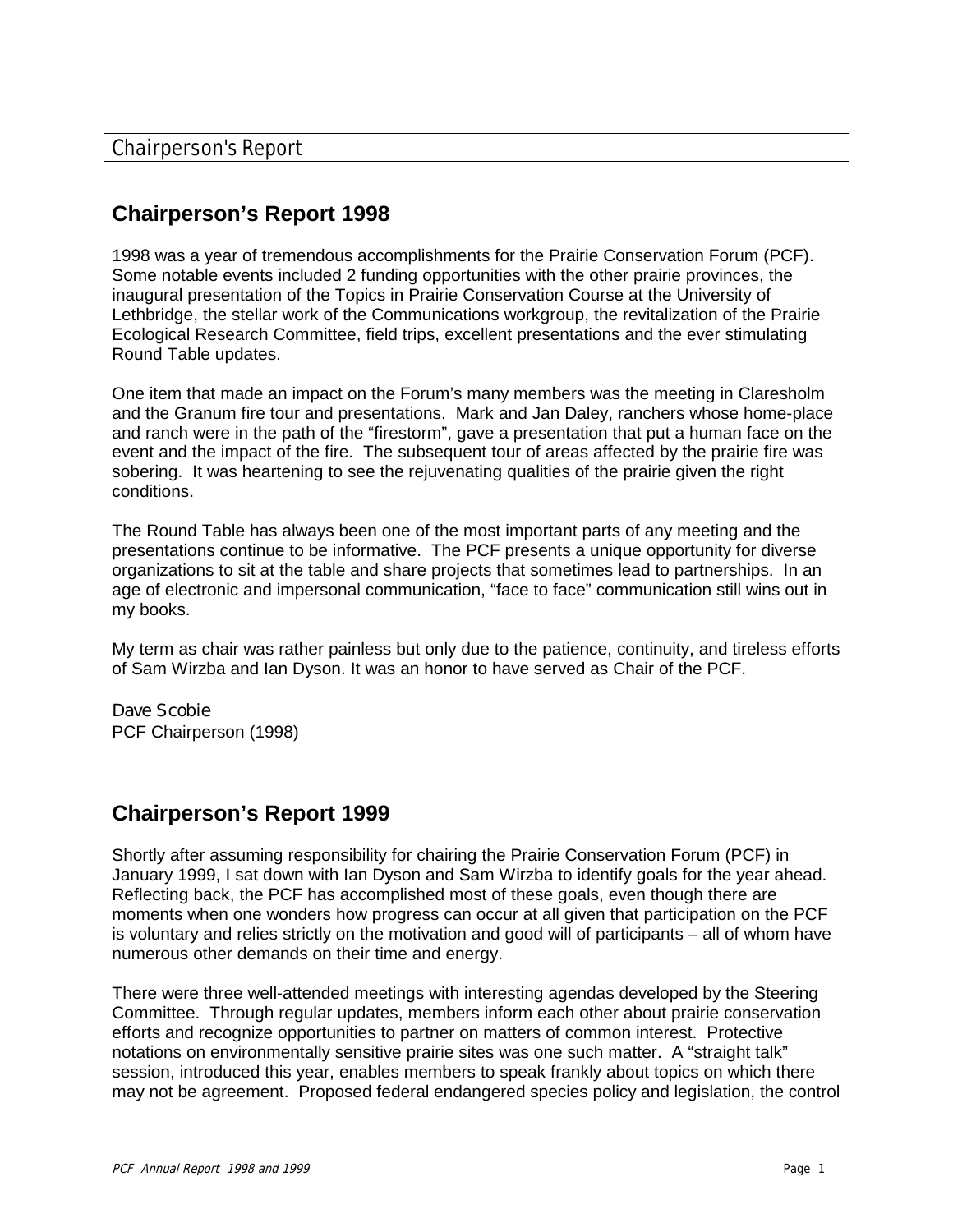# **Chairperson's Report 1998**

1998 was a year of tremendous accomplishments for the Prairie Conservation Forum (PCF). Some notable events included 2 funding opportunities with the other prairie provinces, the inaugural presentation of the Topics in Prairie Conservation Course at the University of Lethbridge, the stellar work of the Communications workgroup, the revitalization of the Prairie Ecological Research Committee, field trips, excellent presentations and the ever stimulating Round Table updates.

One item that made an impact on the Forum's many members was the meeting in Claresholm and the Granum fire tour and presentations. Mark and Jan Daley, ranchers whose home-place and ranch were in the path of the "firestorm", gave a presentation that put a human face on the event and the impact of the fire. The subsequent tour of areas affected by the prairie fire was sobering. It was heartening to see the rejuvenating qualities of the prairie given the right conditions.

The Round Table has always been one of the most important parts of any meeting and the presentations continue to be informative. The PCF presents a unique opportunity for diverse organizations to sit at the table and share projects that sometimes lead to partnerships. In an age of electronic and impersonal communication, "face to face" communication still wins out in my books.

My term as chair was rather painless but only due to the patience, continuity, and tireless efforts of Sam Wirzba and Ian Dyson. It was an honor to have served as Chair of the PCF.

Dave Scobie PCF Chairperson (1998)

# **Chairperson's Report 1999**

Shortly after assuming responsibility for chairing the Prairie Conservation Forum (PCF) in January 1999, I sat down with Ian Dyson and Sam Wirzba to identify goals for the year ahead. Reflecting back, the PCF has accomplished most of these goals, even though there are moments when one wonders how progress can occur at all given that participation on the PCF is voluntary and relies strictly on the motivation and good will of participants – all of whom have numerous other demands on their time and energy.

There were three well-attended meetings with interesting agendas developed by the Steering Committee. Through regular updates, members inform each other about prairie conservation efforts and recognize opportunities to partner on matters of common interest. Protective notations on environmentally sensitive prairie sites was one such matter. A "straight talk" session, introduced this year, enables members to speak frankly about topics on which there may not be agreement. Proposed federal endangered species policy and legislation, the control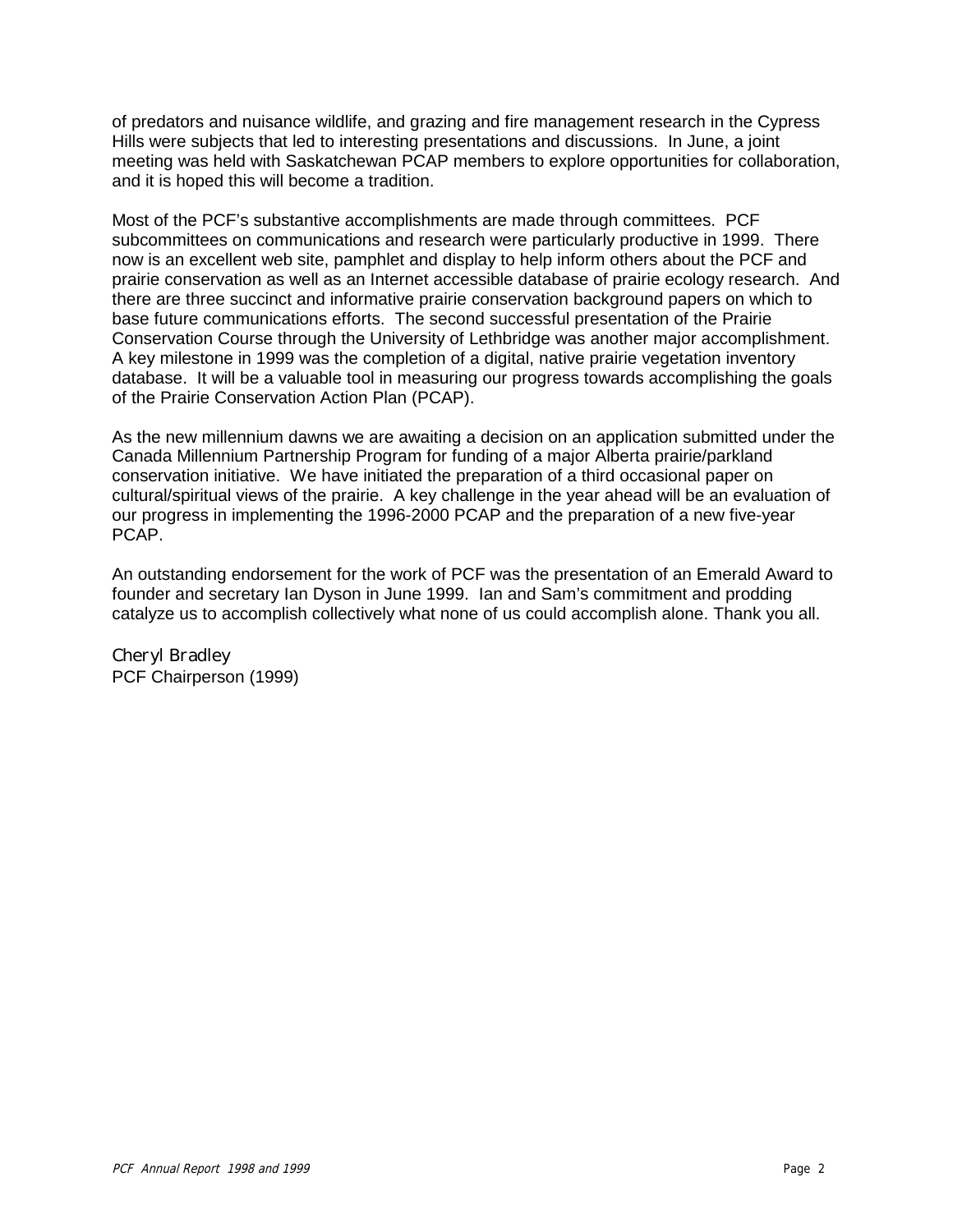of predators and nuisance wildlife, and grazing and fire management research in the Cypress Hills were subjects that led to interesting presentations and discussions. In June, a joint meeting was held with Saskatchewan PCAP members to explore opportunities for collaboration, and it is hoped this will become a tradition.

Most of the PCF's substantive accomplishments are made through committees. PCF subcommittees on communications and research were particularly productive in 1999. There now is an excellent web site, pamphlet and display to help inform others about the PCF and prairie conservation as well as an Internet accessible database of prairie ecology research. And there are three succinct and informative prairie conservation background papers on which to base future communications efforts. The second successful presentation of the Prairie Conservation Course through the University of Lethbridge was another major accomplishment. A key milestone in 1999 was the completion of a digital, native prairie vegetation inventory database. It will be a valuable tool in measuring our progress towards accomplishing the goals of the Prairie Conservation Action Plan (PCAP).

As the new millennium dawns we are awaiting a decision on an application submitted under the Canada Millennium Partnership Program for funding of a major Alberta prairie/parkland conservation initiative. We have initiated the preparation of a third occasional paper on cultural/spiritual views of the prairie. A key challenge in the year ahead will be an evaluation of our progress in implementing the 1996-2000 PCAP and the preparation of a new five-year PCAP.

An outstanding endorsement for the work of PCF was the presentation of an Emerald Award to founder and secretary Ian Dyson in June 1999. Ian and Sam's commitment and prodding catalyze us to accomplish collectively what none of us could accomplish alone. Thank you all.

Cheryl Bradley PCF Chairperson (1999)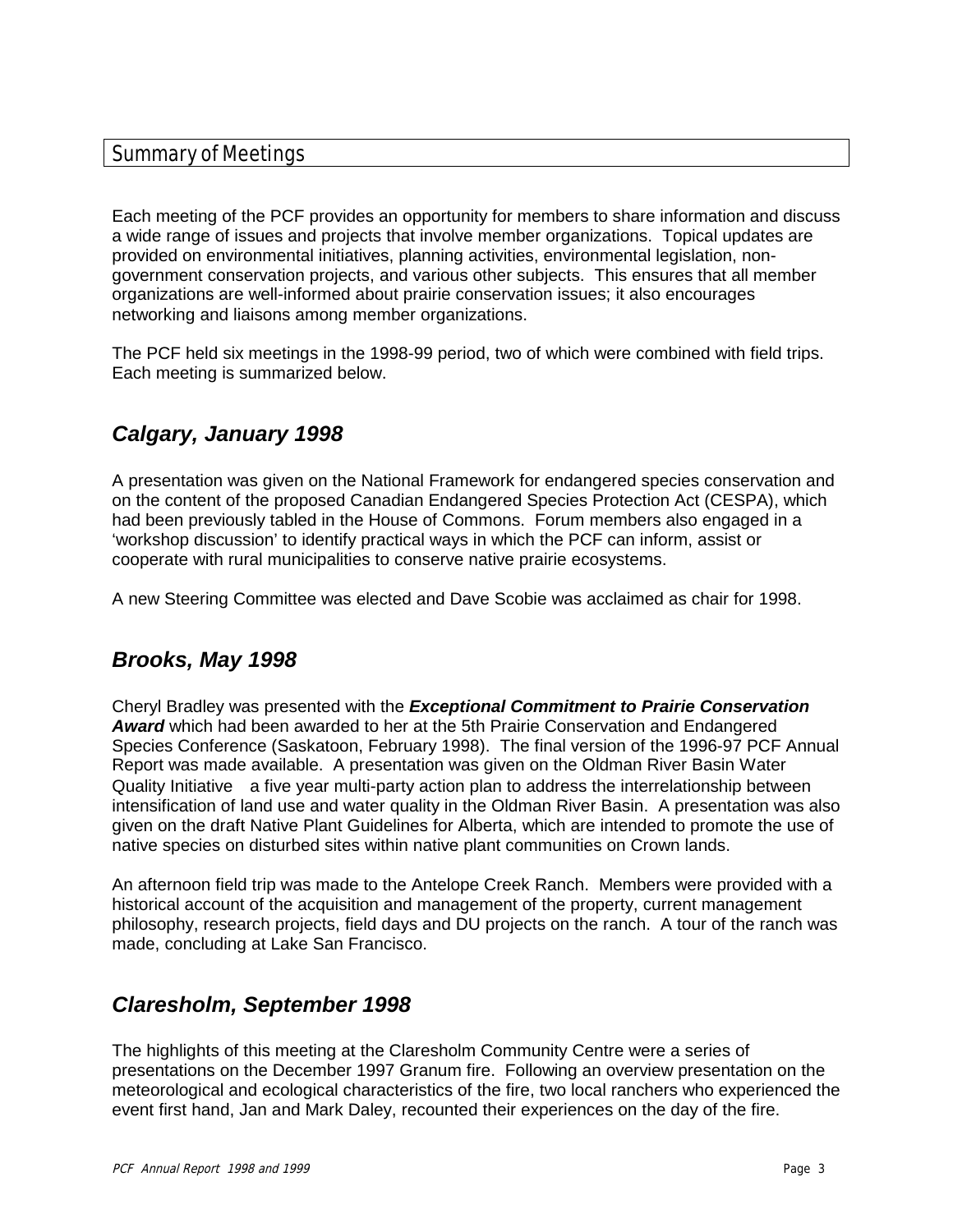#### Summary of Meetings

Each meeting of the PCF provides an opportunity for members to share information and discuss a wide range of issues and projects that involve member organizations. Topical updates are provided on environmental initiatives, planning activities, environmental legislation, nongovernment conservation projects, and various other subjects. This ensures that all member organizations are well-informed about prairie conservation issues; it also encourages networking and liaisons among member organizations.

The PCF held six meetings in the 1998-99 period, two of which were combined with field trips. Each meeting is summarized below.

# *Calgary, January 1998*

A presentation was given on the National Framework for endangered species conservation and on the content of the proposed Canadian Endangered Species Protection Act (CESPA), which had been previously tabled in the House of Commons. Forum members also engaged in a 'workshop discussion' to identify practical ways in which the PCF can inform, assist or cooperate with rural municipalities to conserve native prairie ecosystems.

A new Steering Committee was elected and Dave Scobie was acclaimed as chair for 1998.

# *Brooks, May 1998*

Cheryl Bradley was presented with the *Exceptional Commitment to Prairie Conservation Award* which had been awarded to her at the 5th Prairie Conservation and Endangered Species Conference (Saskatoon, February 1998). The final version of the 1996-97 PCF Annual Report was made available. A presentation was given on the Oldman River Basin Water Quality Initiative—a five year multi-party action plan to address the interrelationship between intensification of land use and water quality in the Oldman River Basin. A presentation was also given on the draft Native Plant Guidelines for Alberta, which are intended to promote the use of native species on disturbed sites within native plant communities on Crown lands.

An afternoon field trip was made to the Antelope Creek Ranch. Members were provided with a historical account of the acquisition and management of the property, current management philosophy, research projects, field days and DU projects on the ranch. A tour of the ranch was made, concluding at Lake San Francisco.

# *Claresholm, September 1998*

The highlights of this meeting at the Claresholm Community Centre were a series of presentations on the December 1997 Granum fire. Following an overview presentation on the meteorological and ecological characteristics of the fire, two local ranchers who experienced the event first hand, Jan and Mark Daley, recounted their experiences on the day of the fire.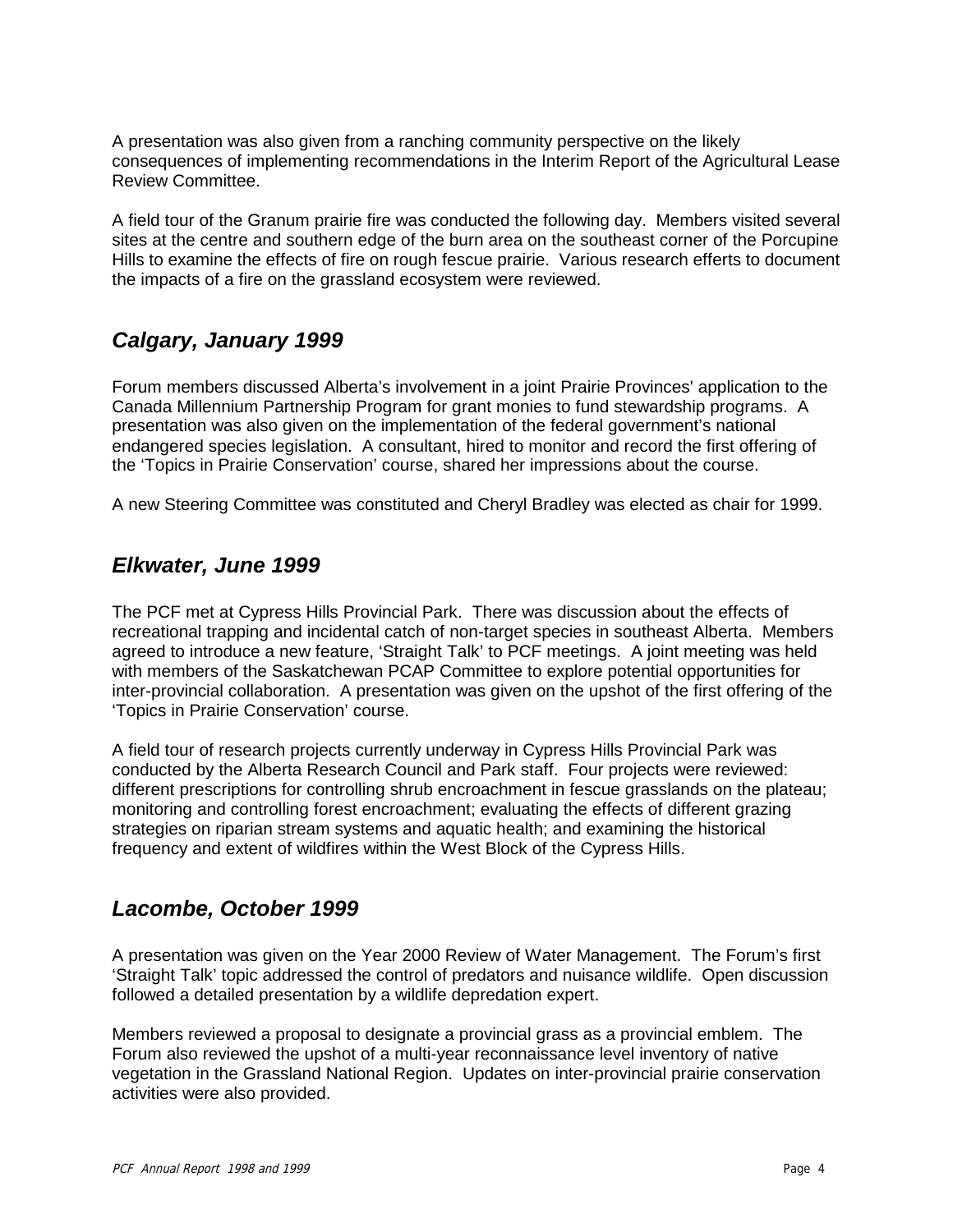A presentation was also given from a ranching community perspective on the likely consequences of implementing recommendations in the Interim Report of the Agricultural Lease Review Committee.

A field tour of the Granum prairie fire was conducted the following day. Members visited several sites at the centre and southern edge of the burn area on the southeast corner of the Porcupine Hills to examine the effects of fire on rough fescue prairie. Various research efferts to document the impacts of a fire on the grassland ecosystem were reviewed.

# *Calgary, January 1999*

Forum members discussed Alberta's involvement in a joint Prairie Provinces' application to the Canada Millennium Partnership Program for grant monies to fund stewardship programs. A presentation was also given on the implementation of the federal government's national endangered species legislation. A consultant, hired to monitor and record the first offering of the 'Topics in Prairie Conservation' course, shared her impressions about the course.

A new Steering Committee was constituted and Cheryl Bradley was elected as chair for 1999.

### *Elkwater, June 1999*

The PCF met at Cypress Hills Provincial Park. There was discussion about the effects of recreational trapping and incidental catch of non-target species in southeast Alberta. Members agreed to introduce a new feature, 'Straight Talk' to PCF meetings. A joint meeting was held with members of the Saskatchewan PCAP Committee to explore potential opportunities for inter-provincial collaboration. A presentation was given on the upshot of the first offering of the 'Topics in Prairie Conservation' course.

A field tour of research projects currently underway in Cypress Hills Provincial Park was conducted by the Alberta Research Council and Park staff. Four projects were reviewed: different prescriptions for controlling shrub encroachment in fescue grasslands on the plateau; monitoring and controlling forest encroachment; evaluating the effects of different grazing strategies on riparian stream systems and aquatic health; and examining the historical frequency and extent of wildfires within the West Block of the Cypress Hills.

### *Lacombe, October 1999*

A presentation was given on the Year 2000 Review of Water Management. The Forum's first 'Straight Talk' topic addressed the control of predators and nuisance wildlife. Open discussion followed a detailed presentation by a wildlife depredation expert.

Members reviewed a proposal to designate a provincial grass as a provincial emblem. The Forum also reviewed the upshot of a multi-year reconnaissance level inventory of native vegetation in the Grassland National Region. Updates on inter-provincial prairie conservation activities were also provided.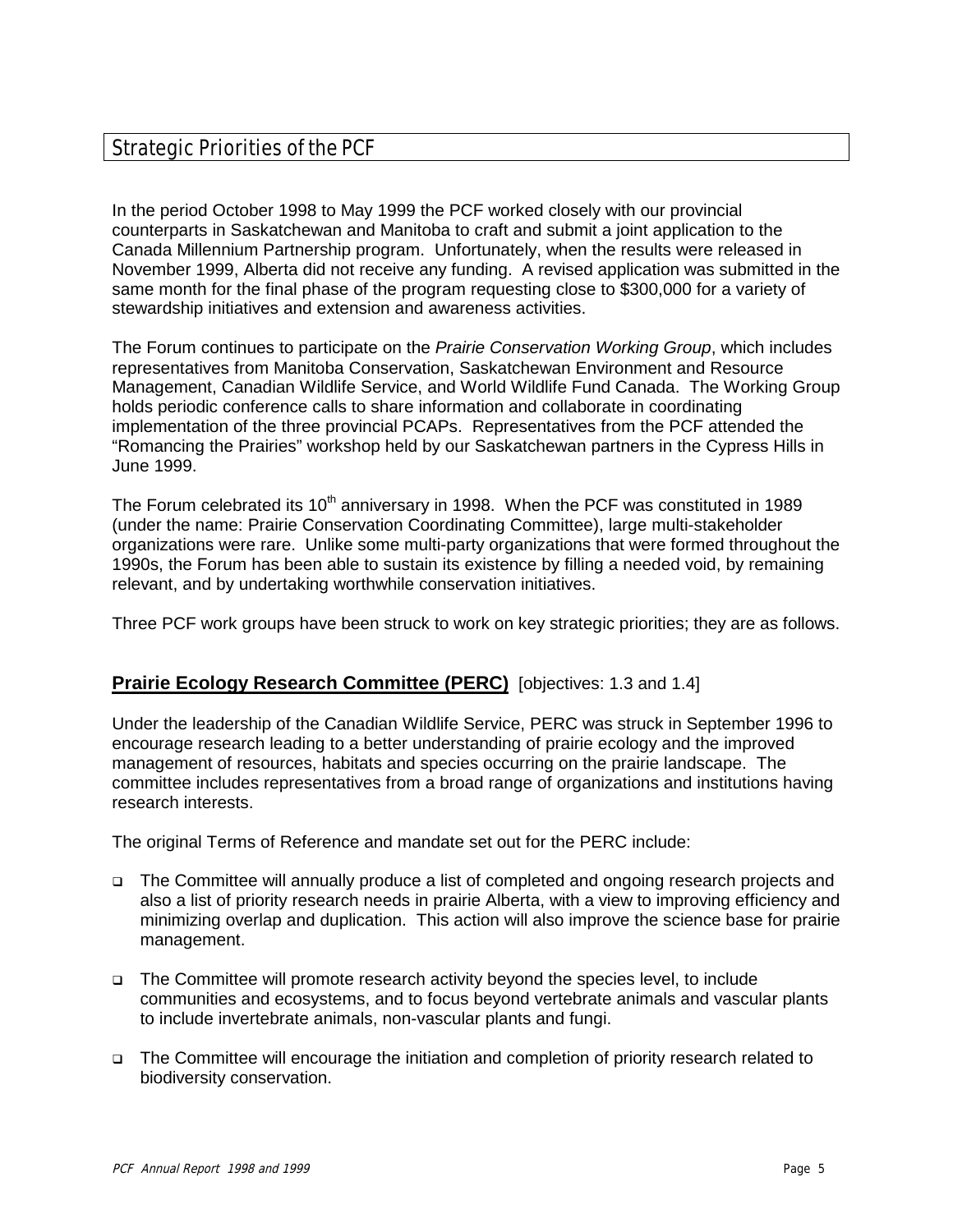# Strategic Priorities of the PCF

In the period October 1998 to May 1999 the PCF worked closely with our provincial counterparts in Saskatchewan and Manitoba to craft and submit a joint application to the Canada Millennium Partnership program. Unfortunately, when the results were released in November 1999, Alberta did not receive any funding. A revised application was submitted in the same month for the final phase of the program requesting close to \$300,000 for a variety of stewardship initiatives and extension and awareness activities.

The Forum continues to participate on the *Prairie Conservation Working Group*, which includes representatives from Manitoba Conservation, Saskatchewan Environment and Resource Management, Canadian Wildlife Service, and World Wildlife Fund Canada. The Working Group holds periodic conference calls to share information and collaborate in coordinating implementation of the three provincial PCAPs. Representatives from the PCF attended the "Romancing the Prairies" workshop held by our Saskatchewan partners in the Cypress Hills in June 1999.

The Forum celebrated its  $10<sup>th</sup>$  anniversary in 1998. When the PCF was constituted in 1989 (under the name: Prairie Conservation Coordinating Committee), large multi-stakeholder organizations were rare. Unlike some multi-party organizations that were formed throughout the 1990s, the Forum has been able to sustain its existence by filling a needed void, by remaining relevant, and by undertaking worthwhile conservation initiatives.

Three PCF work groups have been struck to work on key strategic priorities; they are as follows.

#### **Prairie Ecology Research Committee (PERC)** [objectives: 1.3 and 1.4]

Under the leadership of the Canadian Wildlife Service, PERC was struck in September 1996 to encourage research leading to a better understanding of prairie ecology and the improved management of resources, habitats and species occurring on the prairie landscape. The committee includes representatives from a broad range of organizations and institutions having research interests.

The original Terms of Reference and mandate set out for the PERC include:

- □ The Committee will annually produce a list of completed and ongoing research projects and also a list of priority research needs in prairie Alberta, with a view to improving efficiency and minimizing overlap and duplication. This action will also improve the science base for prairie management.
- □ The Committee will promote research activity beyond the species level, to include communities and ecosystems, and to focus beyond vertebrate animals and vascular plants to include invertebrate animals, non-vascular plants and fungi.
- □ The Committee will encourage the initiation and completion of priority research related to biodiversity conservation.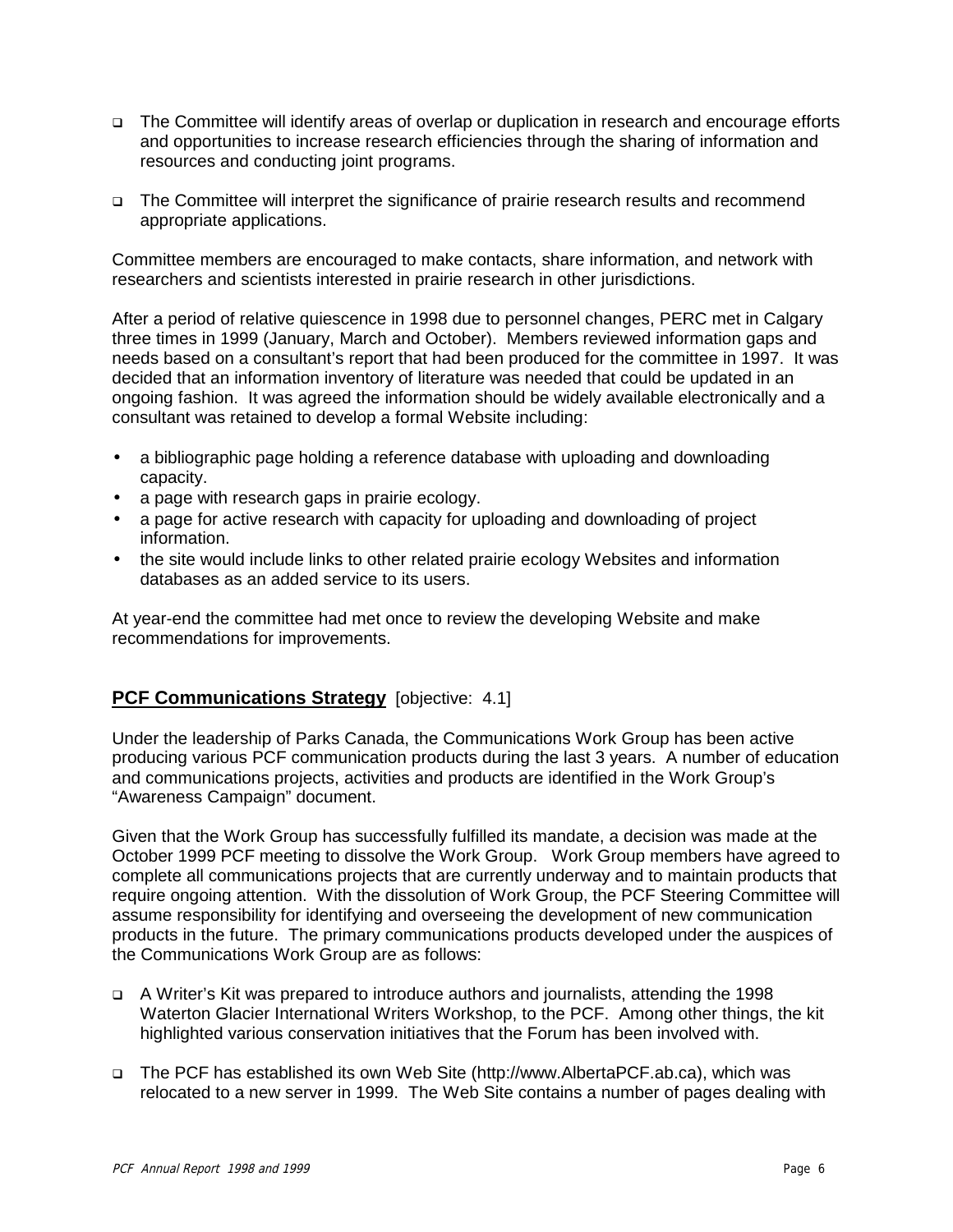- □ The Committee will identify areas of overlap or duplication in research and encourage efforts and opportunities to increase research efficiencies through the sharing of information and resources and conducting joint programs.
- □ The Committee will interpret the significance of prairie research results and recommend appropriate applications.

Committee members are encouraged to make contacts, share information, and network with researchers and scientists interested in prairie research in other jurisdictions.

After a period of relative quiescence in 1998 due to personnel changes, PERC met in Calgary three times in 1999 (January, March and October). Members reviewed information gaps and needs based on a consultant's report that had been produced for the committee in 1997. It was decided that an information inventory of literature was needed that could be updated in an ongoing fashion. It was agreed the information should be widely available electronically and a consultant was retained to develop a formal Website including:

- a bibliographic page holding a reference database with uploading and downloading capacity.
- a page with research gaps in prairie ecology.
- a page for active research with capacity for uploading and downloading of project information.
- the site would include links to other related prairie ecology Websites and information databases as an added service to its users.

At year-end the committee had met once to review the developing Website and make recommendations for improvements.

#### **PCF Communications Strategy** [objective: 4.1]

Under the leadership of Parks Canada, the Communications Work Group has been active producing various PCF communication products during the last 3 years. A number of education and communications projects, activities and products are identified in the Work Group's "Awareness Campaign" document.

Given that the Work Group has successfully fulfilled its mandate, a decision was made at the October 1999 PCF meeting to dissolve the Work Group. Work Group members have agreed to complete all communications projects that are currently underway and to maintain products that require ongoing attention. With the dissolution of Work Group, the PCF Steering Committee will assume responsibility for identifying and overseeing the development of new communication products in the future. The primary communications products developed under the auspices of the Communications Work Group are as follows:

- □ A Writer's Kit was prepared to introduce authors and journalists, attending the 1998 Waterton Glacier International Writers Workshop, to the PCF. Among other things, the kit highlighted various conservation initiatives that the Forum has been involved with.
- □ The PCF has established its own Web Site (http://www.AlbertaPCF.ab.ca), which was relocated to a new server in 1999. The Web Site contains a number of pages dealing with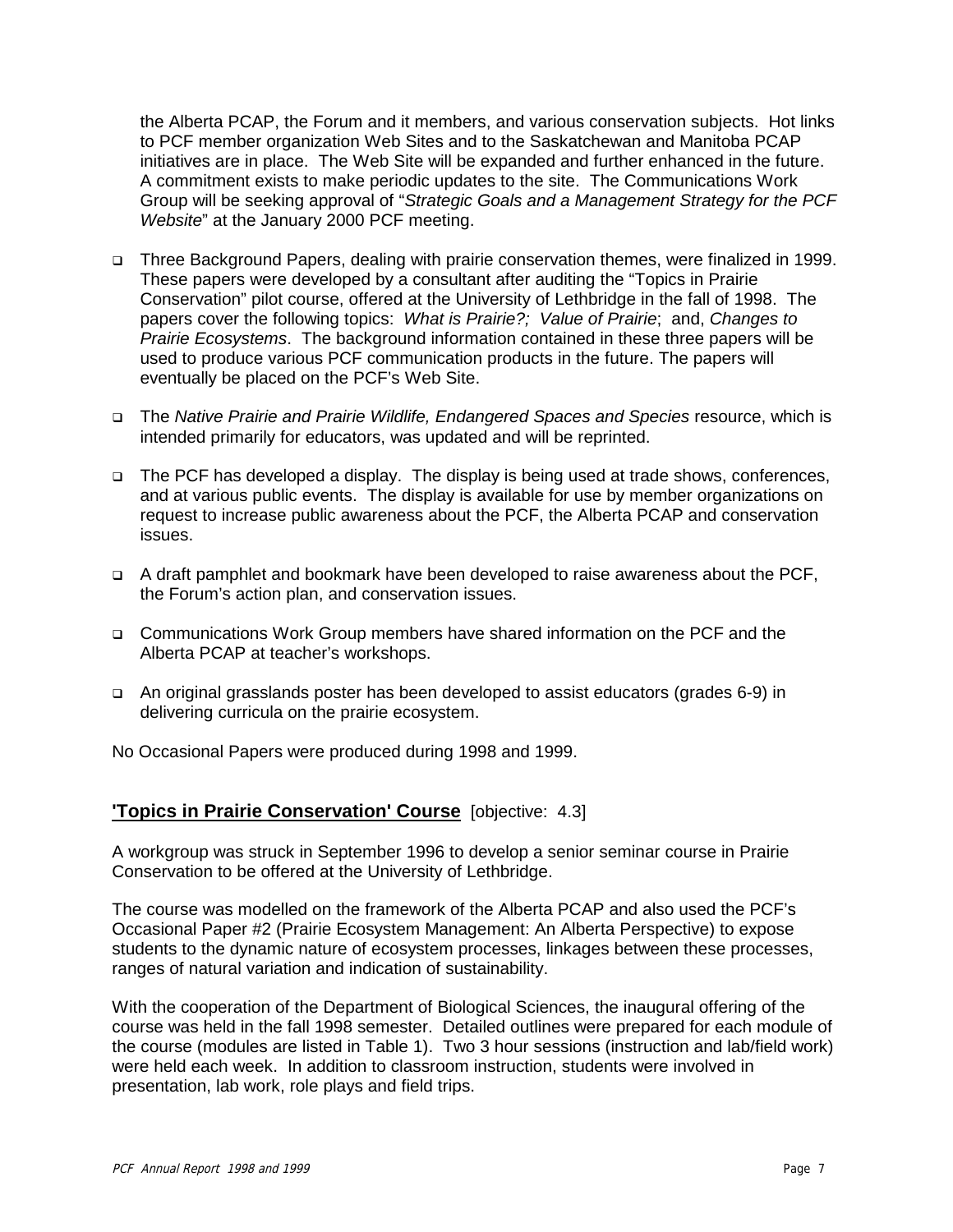the Alberta PCAP, the Forum and it members, and various conservation subjects. Hot links to PCF member organization Web Sites and to the Saskatchewan and Manitoba PCAP initiatives are in place. The Web Site will be expanded and further enhanced in the future. A commitment exists to make periodic updates to the site. The Communications Work Group will be seeking approval of "*Strategic Goals and a Management Strategy for the PCF Website*" at the January 2000 PCF meeting.

- □ Three Background Papers, dealing with prairie conservation themes, were finalized in 1999. These papers were developed by a consultant after auditing the "Topics in Prairie Conservation" pilot course, offered at the University of Lethbridge in the fall of 1998. The papers cover the following topics: *What is Prairie?; Value of Prairie*; and, *Changes to Prairie Ecosystems*. The background information contained in these three papers will be used to produce various PCF communication products in the future. The papers will eventually be placed on the PCF's Web Site.
- The *Native Prairie and Prairie Wildlife, Endangered Spaces and Species* resource, which is intended primarily for educators, was updated and will be reprinted.
- □ The PCF has developed a display. The display is being used at trade shows, conferences, and at various public events. The display is available for use by member organizations on request to increase public awareness about the PCF, the Alberta PCAP and conservation issues.
- □ A draft pamphlet and bookmark have been developed to raise awareness about the PCF, the Forum's action plan, and conservation issues.
- □ Communications Work Group members have shared information on the PCF and the Alberta PCAP at teacher's workshops.
- □ An original grasslands poster has been developed to assist educators (grades 6-9) in delivering curricula on the prairie ecosystem.

No Occasional Papers were produced during 1998 and 1999.

#### **'Topics in Prairie Conservation' Course** [objective: 4.3]

A workgroup was struck in September 1996 to develop a senior seminar course in Prairie Conservation to be offered at the University of Lethbridge.

The course was modelled on the framework of the Alberta PCAP and also used the PCF's Occasional Paper #2 (Prairie Ecosystem Management: An Alberta Perspective) to expose students to the dynamic nature of ecosystem processes, linkages between these processes, ranges of natural variation and indication of sustainability.

With the cooperation of the Department of Biological Sciences, the inaugural offering of the course was held in the fall 1998 semester. Detailed outlines were prepared for each module of the course (modules are listed in Table 1). Two 3 hour sessions (instruction and lab/field work) were held each week. In addition to classroom instruction, students were involved in presentation, lab work, role plays and field trips.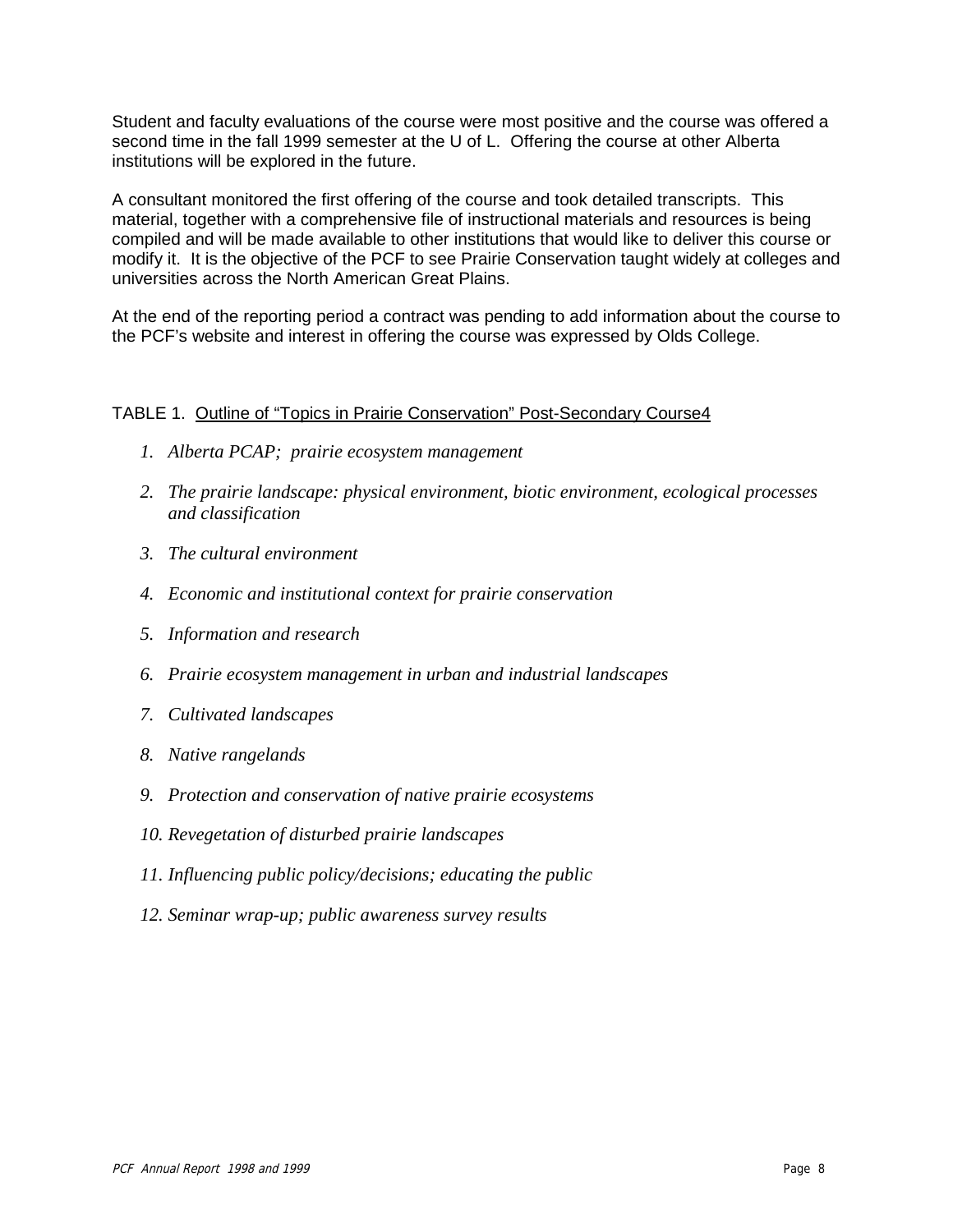Student and faculty evaluations of the course were most positive and the course was offered a second time in the fall 1999 semester at the U of L. Offering the course at other Alberta institutions will be explored in the future.

A consultant monitored the first offering of the course and took detailed transcripts. This material, together with a comprehensive file of instructional materials and resources is being compiled and will be made available to other institutions that would like to deliver this course or modify it. It is the objective of the PCF to see Prairie Conservation taught widely at colleges and universities across the North American Great Plains.

At the end of the reporting period a contract was pending to add information about the course to the PCF's website and interest in offering the course was expressed by Olds College.

#### TABLE 1. Outline of "Topics in Prairie Conservation" Post-Secondary Course4

- *1. Alberta PCAP; prairie ecosystem management*
- *2. The prairie landscape: physical environment, biotic environment, ecological processes and classification*
- *3. The cultural environment*
- *4. Economic and institutional context for prairie conservation*
- *5. Information and research*
- *6. Prairie ecosystem management in urban and industrial landscapes*
- *7. Cultivated landscapes*
- *8. Native rangelands*
- *9. Protection and conservation of native prairie ecosystems*
- *10. Revegetation of disturbed prairie landscapes*
- *11. Influencing public policy/decisions; educating the public*
- *12. Seminar wrap-up; public awareness survey results*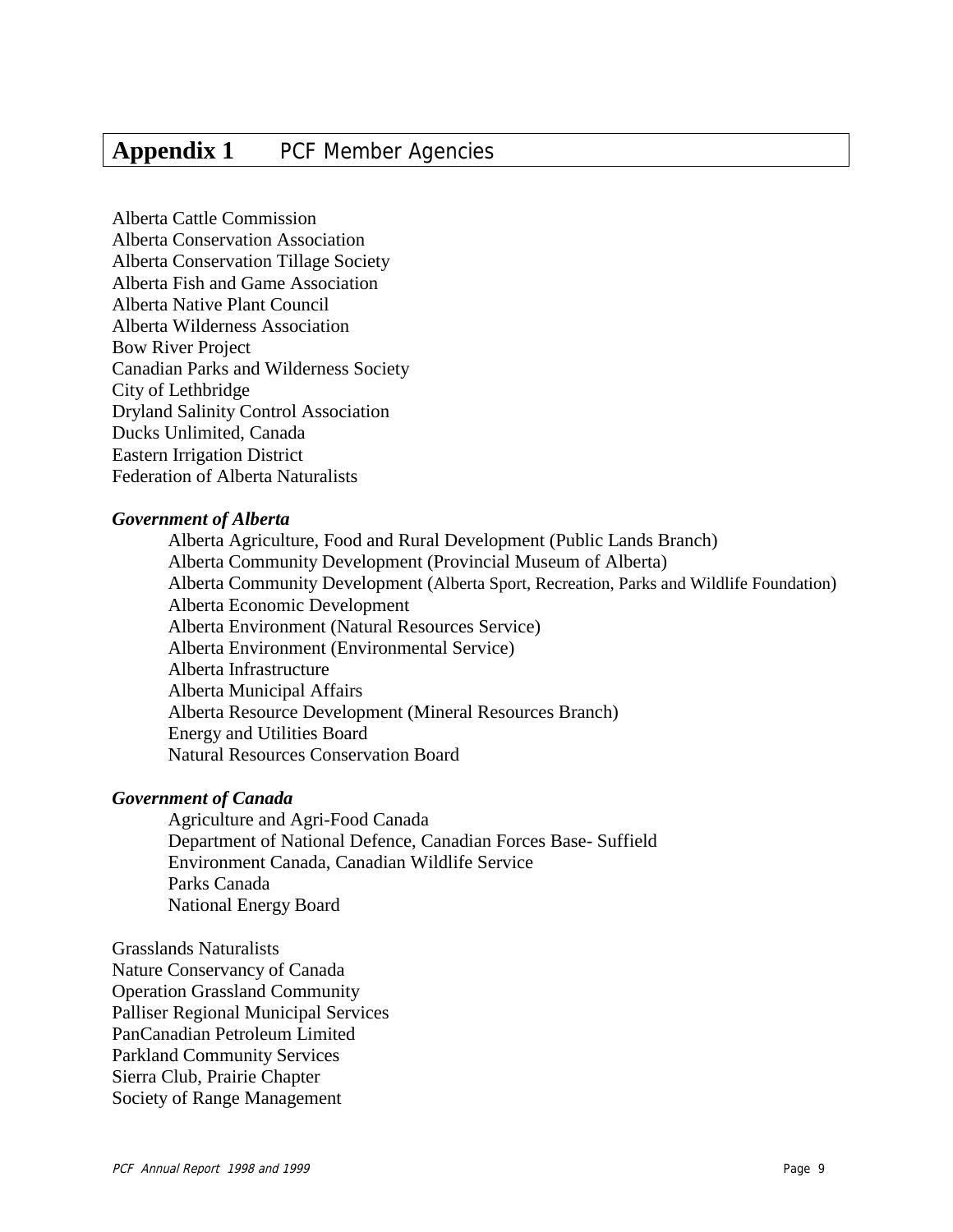# **Appendix 1** PCF Member Agencies

Alberta Cattle Commission Alberta Conservation Association Alberta Conservation Tillage Society Alberta Fish and Game Association Alberta Native Plant Council Alberta Wilderness Association Bow River Project Canadian Parks and Wilderness Society City of Lethbridge Dryland Salinity Control Association Ducks Unlimited, Canada Eastern Irrigation District Federation of Alberta Naturalists

#### *Government of Alberta*

Alberta Agriculture, Food and Rural Development (Public Lands Branch) Alberta Community Development (Provincial Museum of Alberta) Alberta Community Development (Alberta Sport, Recreation, Parks and Wildlife Foundation) Alberta Economic Development Alberta Environment (Natural Resources Service) Alberta Environment (Environmental Service) Alberta Infrastructure Alberta Municipal Affairs Alberta Resource Development (Mineral Resources Branch) Energy and Utilities Board Natural Resources Conservation Board

#### *Government of Canada*

Agriculture and Agri-Food Canada Department of National Defence, Canadian Forces Base- Suffield Environment Canada, Canadian Wildlife Service Parks Canada National Energy Board

Grasslands Naturalists

Nature Conservancy of Canada Operation Grassland Community Palliser Regional Municipal Services PanCanadian Petroleum Limited Parkland Community Services Sierra Club, Prairie Chapter Society of Range Management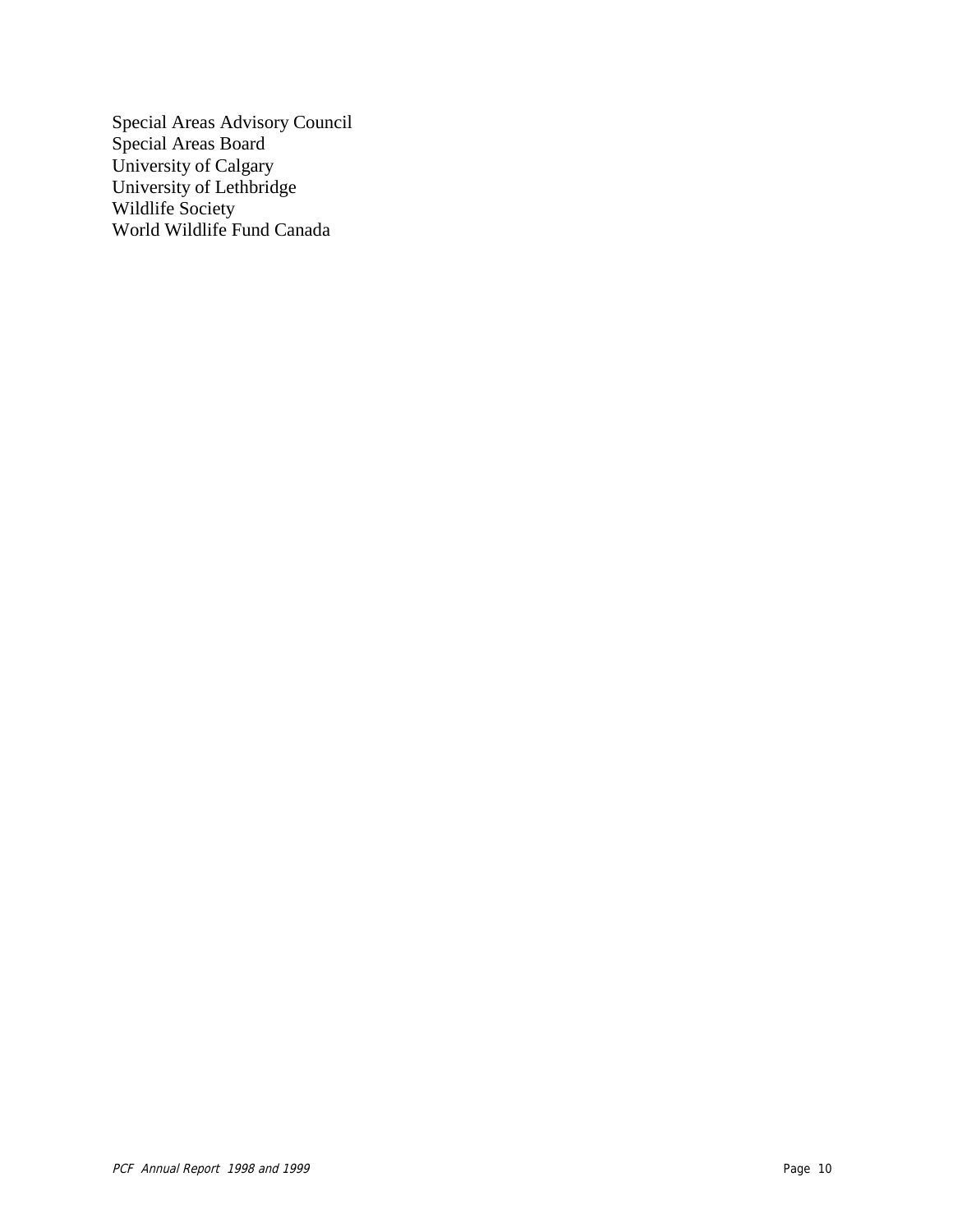Special Areas Advisory Council Special Areas Board University of Calgary University of Lethbridge Wildlife Society World Wildlife Fund Canada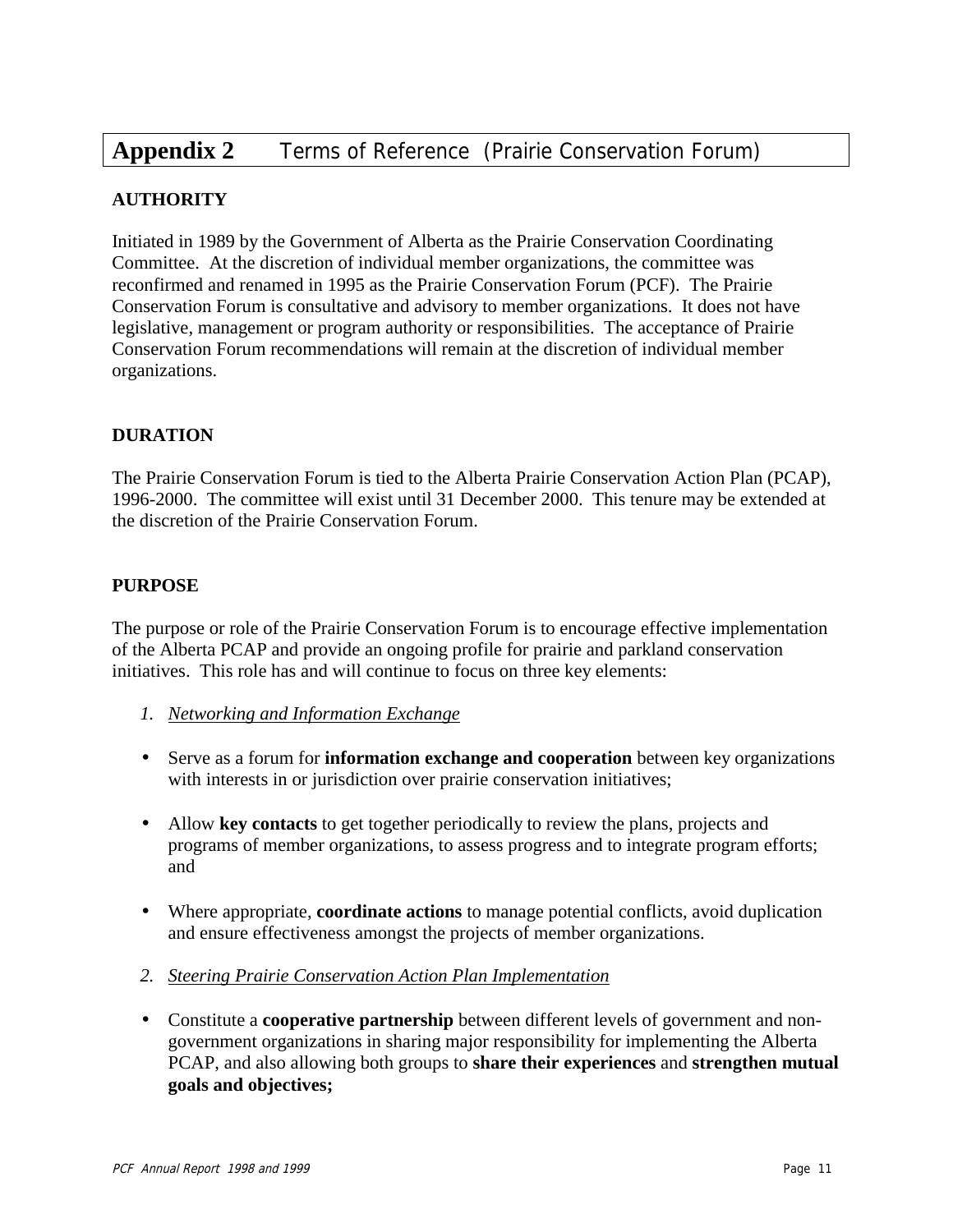# **Appendix 2** Terms of Reference (Prairie Conservation Forum)

#### **AUTHORITY**

Initiated in 1989 by the Government of Alberta as the Prairie Conservation Coordinating Committee. At the discretion of individual member organizations, the committee was reconfirmed and renamed in 1995 as the Prairie Conservation Forum (PCF). The Prairie Conservation Forum is consultative and advisory to member organizations. It does not have legislative, management or program authority or responsibilities. The acceptance of Prairie Conservation Forum recommendations will remain at the discretion of individual member organizations.

#### **DURATION**

The Prairie Conservation Forum is tied to the Alberta Prairie Conservation Action Plan (PCAP), 1996-2000. The committee will exist until 31 December 2000. This tenure may be extended at the discretion of the Prairie Conservation Forum.

#### **PURPOSE**

The purpose or role of the Prairie Conservation Forum is to encourage effective implementation of the Alberta PCAP and provide an ongoing profile for prairie and parkland conservation initiatives. This role has and will continue to focus on three key elements:

- *1. Networking and Information Exchange*
- Serve as a forum for **information exchange and cooperation** between key organizations with interests in or jurisdiction over prairie conservation initiatives;
- Allow **key contacts** to get together periodically to review the plans, projects and programs of member organizations, to assess progress and to integrate program efforts; and
- Where appropriate, **coordinate actions** to manage potential conflicts, avoid duplication and ensure effectiveness amongst the projects of member organizations.
- *2. Steering Prairie Conservation Action Plan Implementation*
- Constitute a **cooperative partnership** between different levels of government and nongovernment organizations in sharing major responsibility for implementing the Alberta PCAP, and also allowing both groups to **share their experiences** and **strengthen mutual goals and objectives;**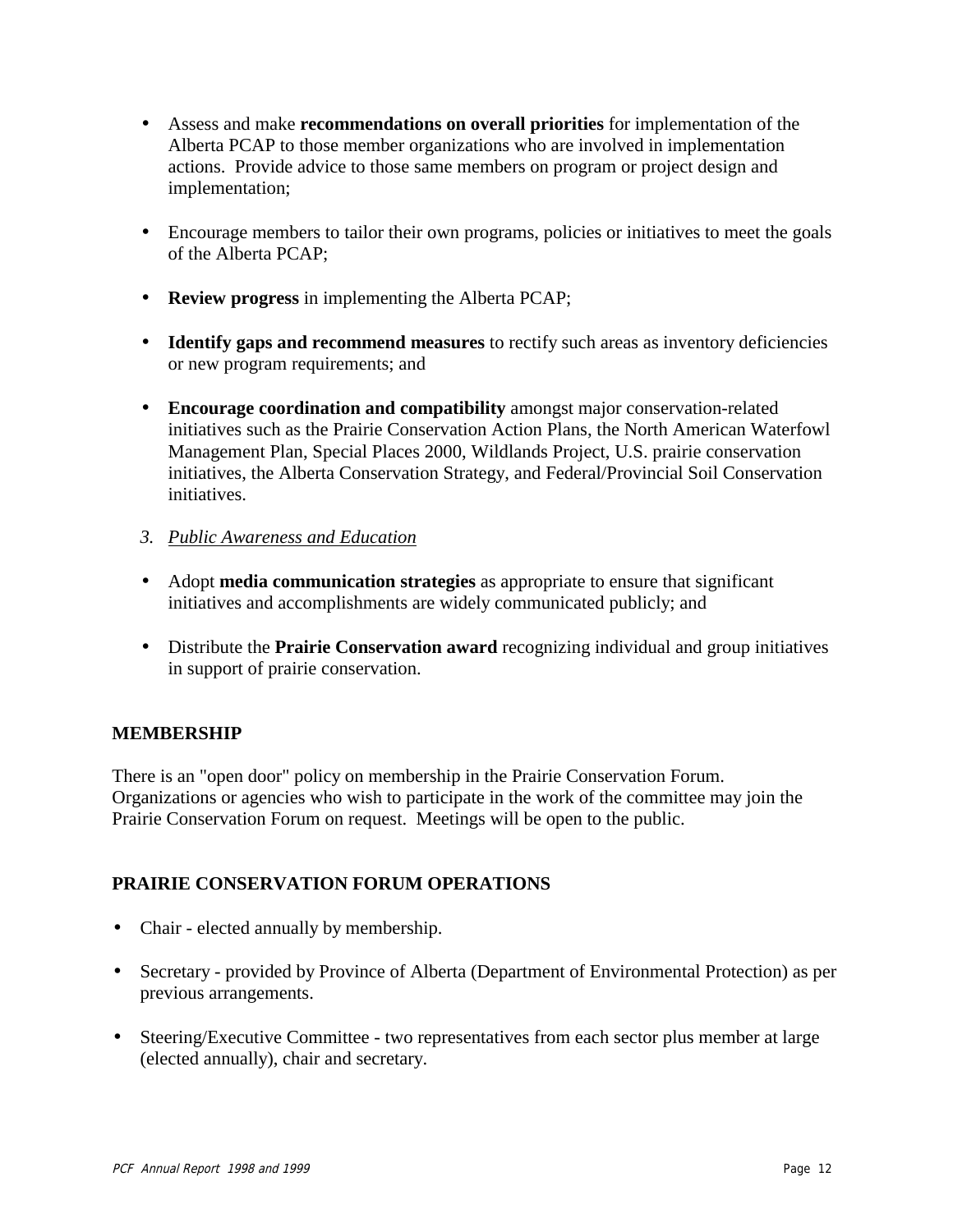- Assess and make **recommendations on overall priorities** for implementation of the Alberta PCAP to those member organizations who are involved in implementation actions. Provide advice to those same members on program or project design and implementation;
- Encourage members to tailor their own programs, policies or initiatives to meet the goals of the Alberta PCAP;
- **Review progress** in implementing the Alberta PCAP;
- **Identify gaps and recommend measures** to rectify such areas as inventory deficiencies or new program requirements; and
- **Encourage coordination and compatibility** amongst major conservation-related initiatives such as the Prairie Conservation Action Plans, the North American Waterfowl Management Plan, Special Places 2000, Wildlands Project, U.S. prairie conservation initiatives, the Alberta Conservation Strategy, and Federal/Provincial Soil Conservation initiatives.
- *3. Public Awareness and Education*
- Adopt **media communication strategies** as appropriate to ensure that significant initiatives and accomplishments are widely communicated publicly; and
- Distribute the **Prairie Conservation award** recognizing individual and group initiatives in support of prairie conservation.

#### **MEMBERSHIP**

There is an "open door" policy on membership in the Prairie Conservation Forum. Organizations or agencies who wish to participate in the work of the committee may join the Prairie Conservation Forum on request. Meetings will be open to the public.

#### **PRAIRIE CONSERVATION FORUM OPERATIONS**

- Chair elected annually by membership.
- Secretary provided by Province of Alberta (Department of Environmental Protection) as per previous arrangements.
- Steering/Executive Committee two representatives from each sector plus member at large (elected annually), chair and secretary.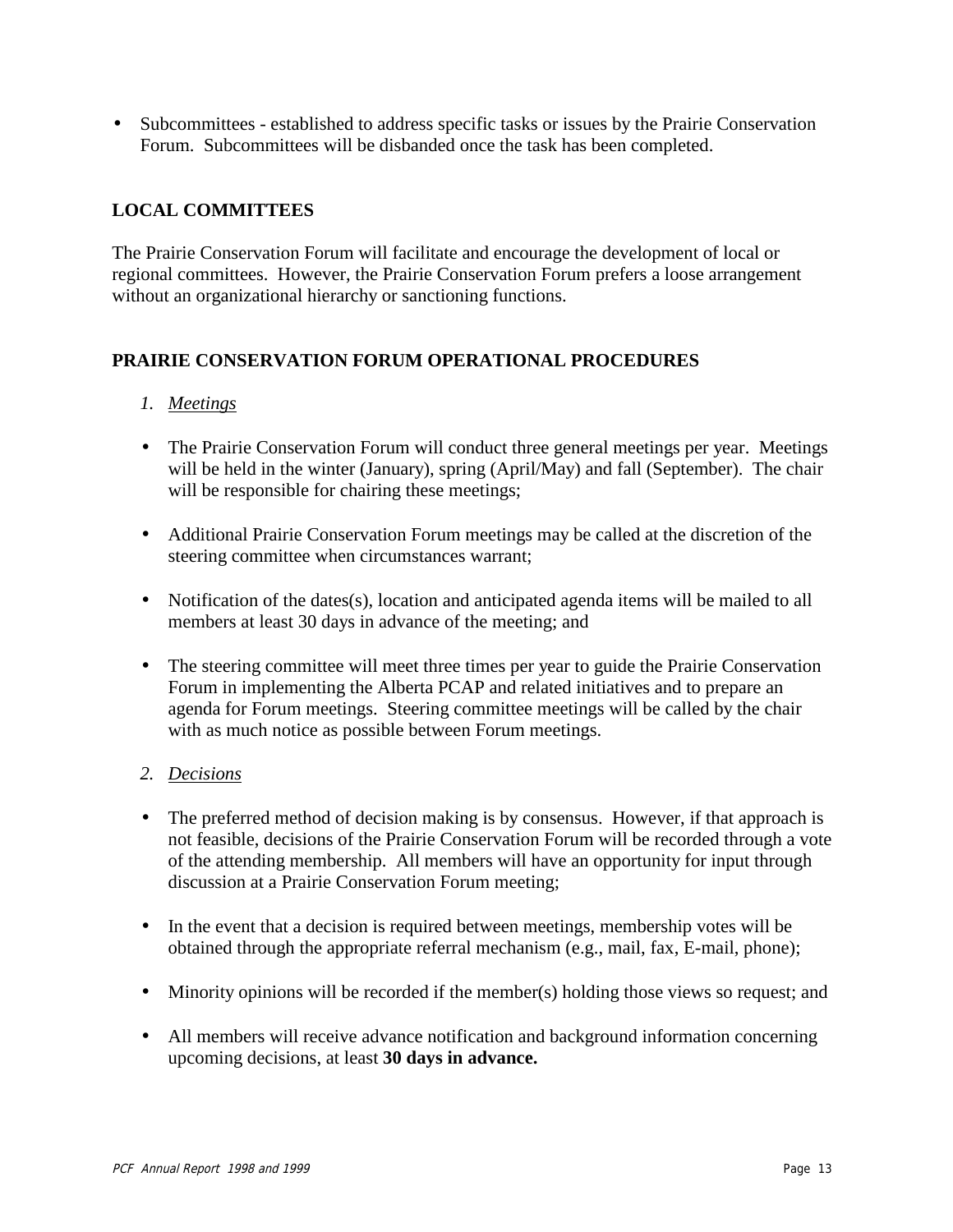• Subcommittees - established to address specific tasks or issues by the Prairie Conservation Forum. Subcommittees will be disbanded once the task has been completed.

#### **LOCAL COMMITTEES**

The Prairie Conservation Forum will facilitate and encourage the development of local or regional committees. However, the Prairie Conservation Forum prefers a loose arrangement without an organizational hierarchy or sanctioning functions.

#### **PRAIRIE CONSERVATION FORUM OPERATIONAL PROCEDURES**

#### *1. Meetings*

- The Prairie Conservation Forum will conduct three general meetings per year. Meetings will be held in the winter (January), spring (April/May) and fall (September). The chair will be responsible for chairing these meetings;
- Additional Prairie Conservation Forum meetings may be called at the discretion of the steering committee when circumstances warrant;
- Notification of the dates(s), location and anticipated agenda items will be mailed to all members at least 30 days in advance of the meeting; and
- The steering committee will meet three times per year to guide the Prairie Conservation Forum in implementing the Alberta PCAP and related initiatives and to prepare an agenda for Forum meetings. Steering committee meetings will be called by the chair with as much notice as possible between Forum meetings.

#### *2. Decisions*

- The preferred method of decision making is by consensus. However, if that approach is not feasible, decisions of the Prairie Conservation Forum will be recorded through a vote of the attending membership. All members will have an opportunity for input through discussion at a Prairie Conservation Forum meeting;
- In the event that a decision is required between meetings, membership votes will be obtained through the appropriate referral mechanism (e.g., mail, fax, E-mail, phone);
- Minority opinions will be recorded if the member(s) holding those views so request; and
- All members will receive advance notification and background information concerning upcoming decisions, at least **30 days in advance.**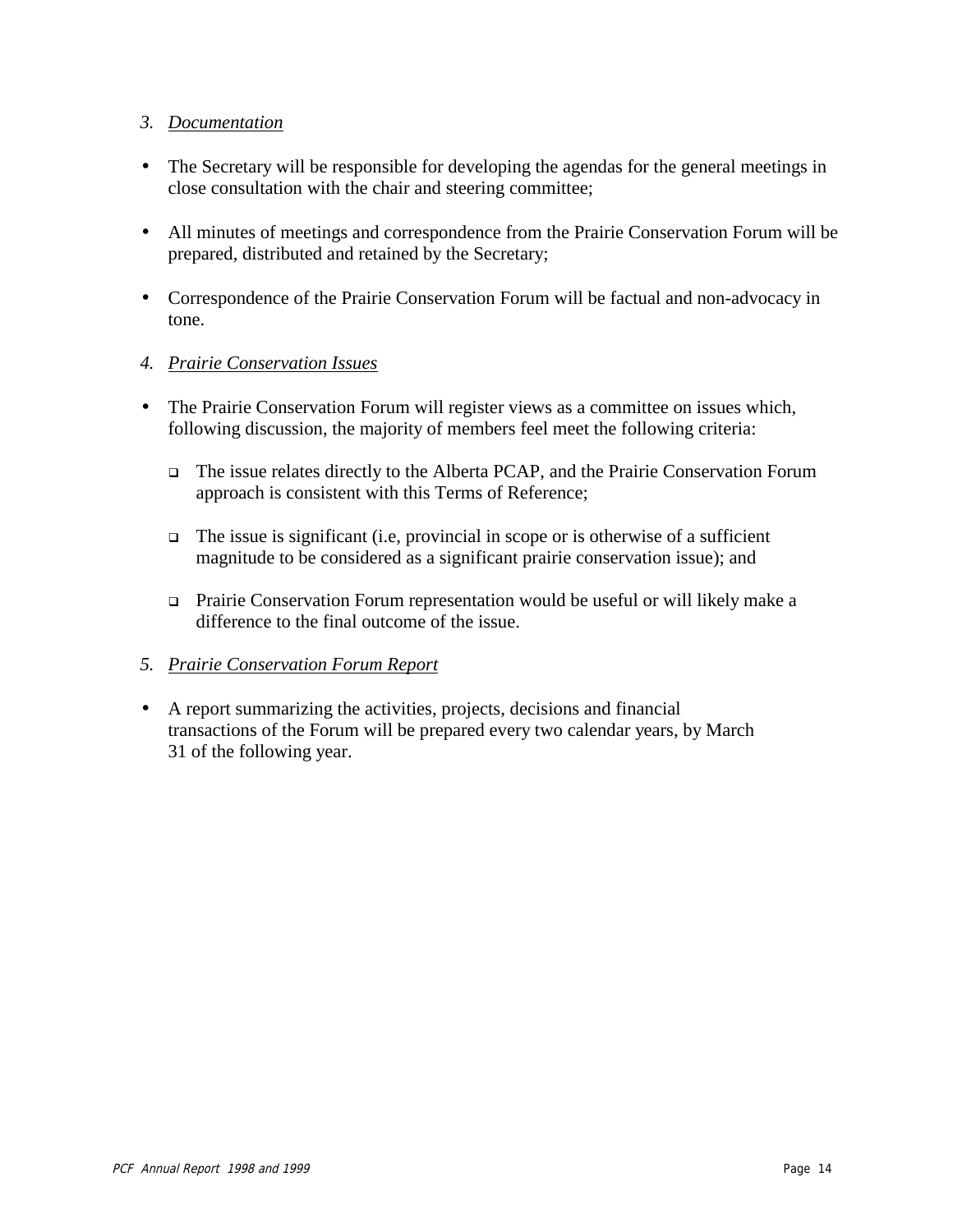#### *3. Documentation*

- The Secretary will be responsible for developing the agendas for the general meetings in close consultation with the chair and steering committee;
- All minutes of meetings and correspondence from the Prairie Conservation Forum will be prepared, distributed and retained by the Secretary;
- Correspondence of the Prairie Conservation Forum will be factual and non-advocacy in tone.

#### *4. Prairie Conservation Issues*

- The Prairie Conservation Forum will register views as a committee on issues which, following discussion, the majority of members feel meet the following criteria:
	- □ The issue relates directly to the Alberta PCAP, and the Prairie Conservation Forum approach is consistent with this Terms of Reference;
	- $\Box$  The issue is significant (i.e, provincial in scope or is otherwise of a sufficient magnitude to be considered as a significant prairie conservation issue); and
	- □ Prairie Conservation Forum representation would be useful or will likely make a difference to the final outcome of the issue.

#### *5. Prairie Conservation Forum Report*

• A report summarizing the activities, projects, decisions and financial transactions of the Forum will be prepared every two calendar years, by March 31 of the following year.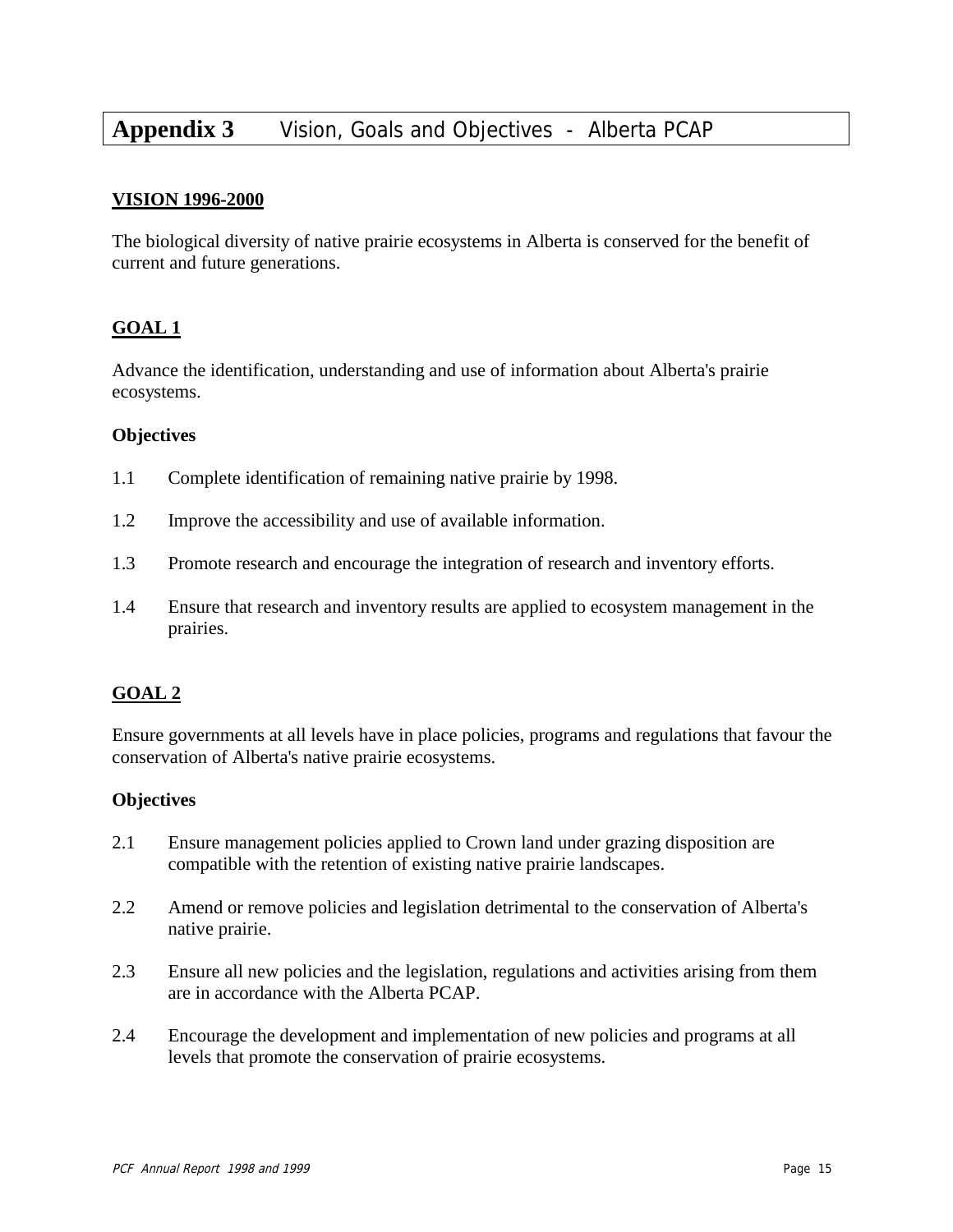# **Appendix 3** Vision, Goals and Objectives - Alberta PCAP

#### **VISION 1996-2000**

The biological diversity of native prairie ecosystems in Alberta is conserved for the benefit of current and future generations.

#### **GOAL 1**

Advance the identification, understanding and use of information about Alberta's prairie ecosystems.

#### **Objectives**

- 1.1 Complete identification of remaining native prairie by 1998.
- 1.2 Improve the accessibility and use of available information.
- 1.3 Promote research and encourage the integration of research and inventory efforts.
- 1.4 Ensure that research and inventory results are applied to ecosystem management in the prairies.

#### **GOAL 2**

Ensure governments at all levels have in place policies, programs and regulations that favour the conservation of Alberta's native prairie ecosystems.

#### **Objectives**

- 2.1 Ensure management policies applied to Crown land under grazing disposition are compatible with the retention of existing native prairie landscapes.
- 2.2 Amend or remove policies and legislation detrimental to the conservation of Alberta's native prairie.
- 2.3 Ensure all new policies and the legislation, regulations and activities arising from them are in accordance with the Alberta PCAP.
- 2.4 Encourage the development and implementation of new policies and programs at all levels that promote the conservation of prairie ecosystems.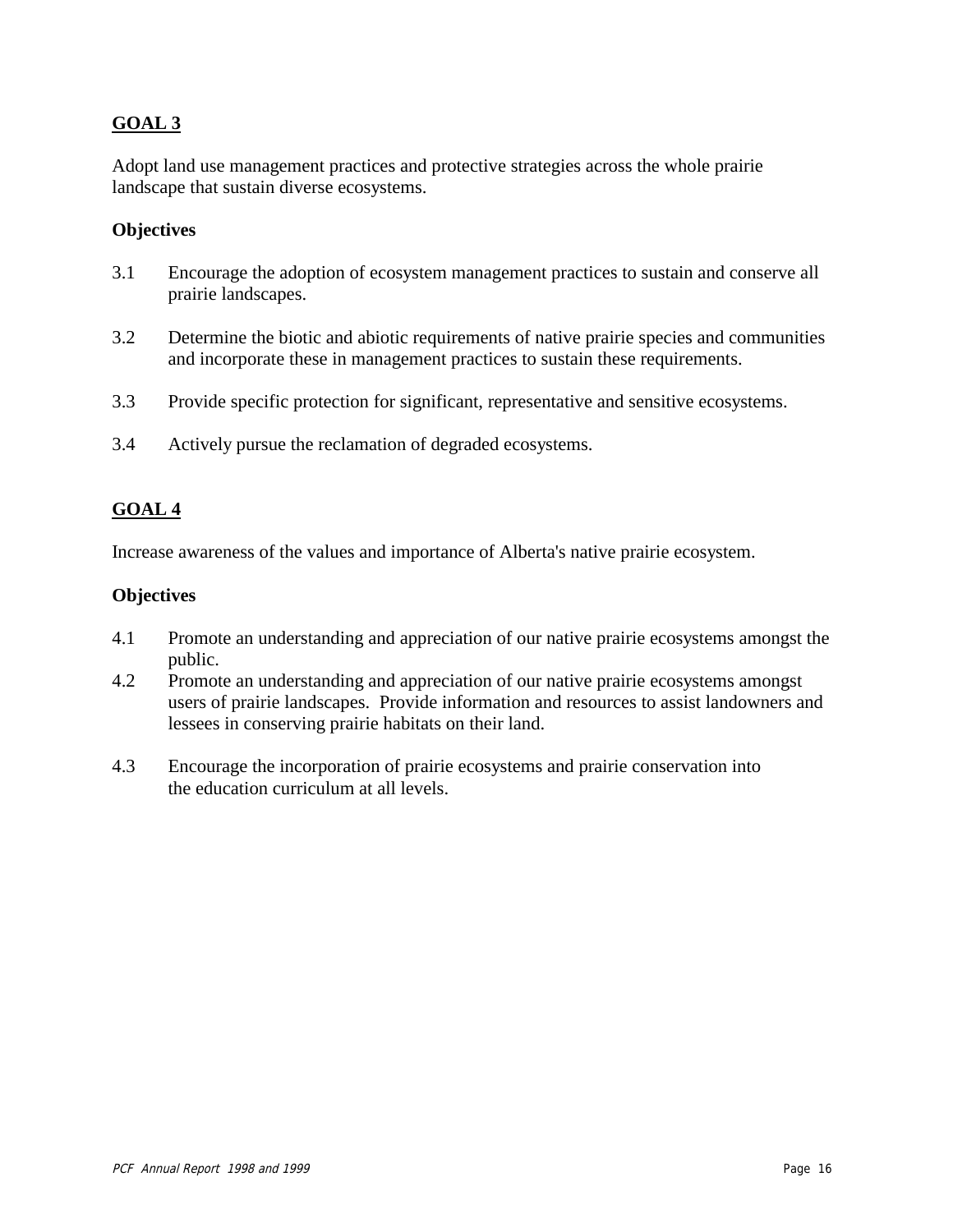#### **GOAL 3**

Adopt land use management practices and protective strategies across the whole prairie landscape that sustain diverse ecosystems.

#### **Objectives**

- 3.1 Encourage the adoption of ecosystem management practices to sustain and conserve all prairie landscapes.
- 3.2 Determine the biotic and abiotic requirements of native prairie species and communities and incorporate these in management practices to sustain these requirements.
- 3.3 Provide specific protection for significant, representative and sensitive ecosystems.
- 3.4 Actively pursue the reclamation of degraded ecosystems.

#### **GOAL 4**

Increase awareness of the values and importance of Alberta's native prairie ecosystem.

#### **Objectives**

- 4.1 Promote an understanding and appreciation of our native prairie ecosystems amongst the public.
- 4.2 Promote an understanding and appreciation of our native prairie ecosystems amongst users of prairie landscapes. Provide information and resources to assist landowners and lessees in conserving prairie habitats on their land.
- 4.3 Encourage the incorporation of prairie ecosystems and prairie conservation into the education curriculum at all levels.